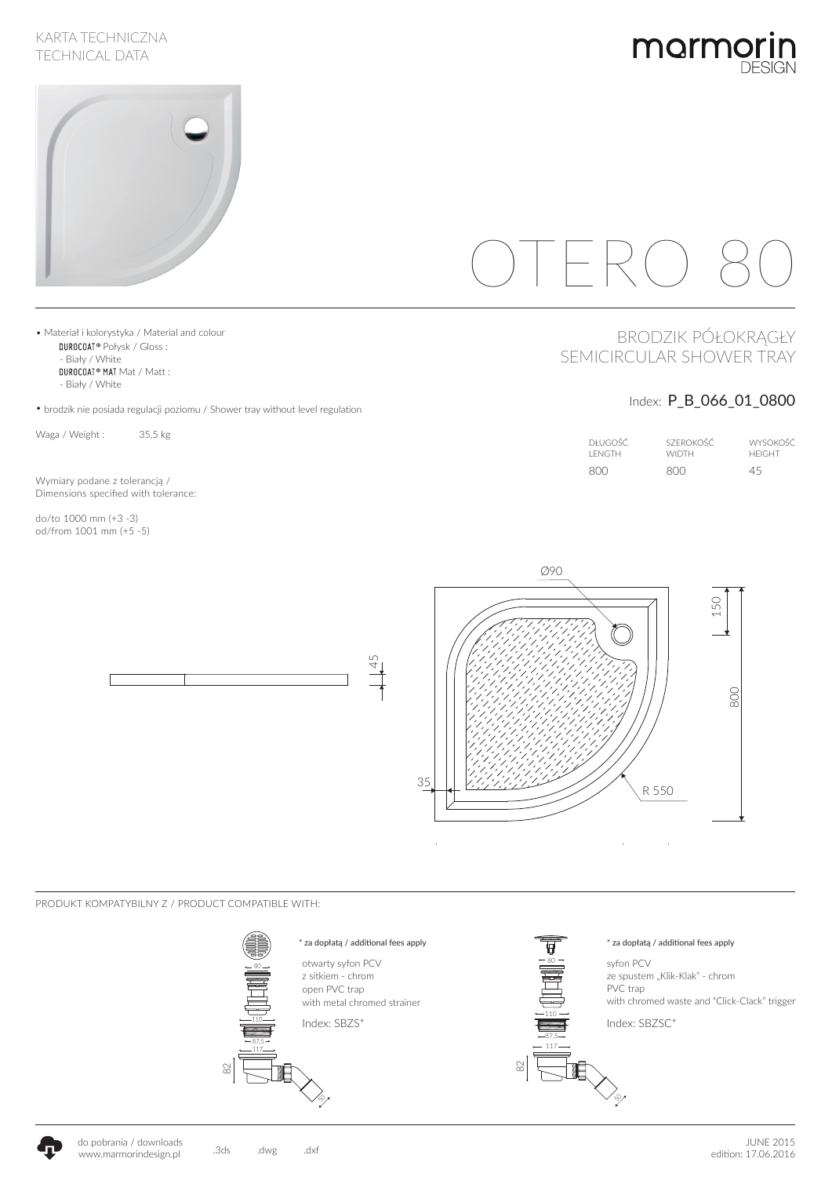### KARTA TECHNICZNA TECHNICAL DATA





# $\bigcap \vdash \mathsf{R}(\cdot)$

# BRODZIK PÓŁOKRĄGŁY SEMICIRCULAR SHOWER TRAY

## Index: P\_B\_066\_01\_0800

| DHUGOŚĆ.       | SZEROKOŚĆ    | <b>WYSOKOŚĆ</b> |
|----------------|--------------|-----------------|
| <b>I ENGTH</b> | <b>WIDTH</b> | <b>HEIGHT</b>   |
| -800           | 800          | 45              |



PRODUKT KOMPATYBILNY Z / PRODUCT COMPATIBLE WITH:



• Materiał i kolorystyka / Material and colour DUROCOAT® Połysk / Gloss : - Biały / White

DUROCOAT<sup>®</sup> MAT Mat / Matt :

- Biały / White

• brodzik nie posiada regulacji poziomu / Shower tray without level regulation

Waga / Weight : 35,5 kg

Wymiary podane z tolerancją / Dimensions specified with tolerance:

do/to 1000 mm (+3 -3) od/from 1001 mm (+5 -5)



4<br>4